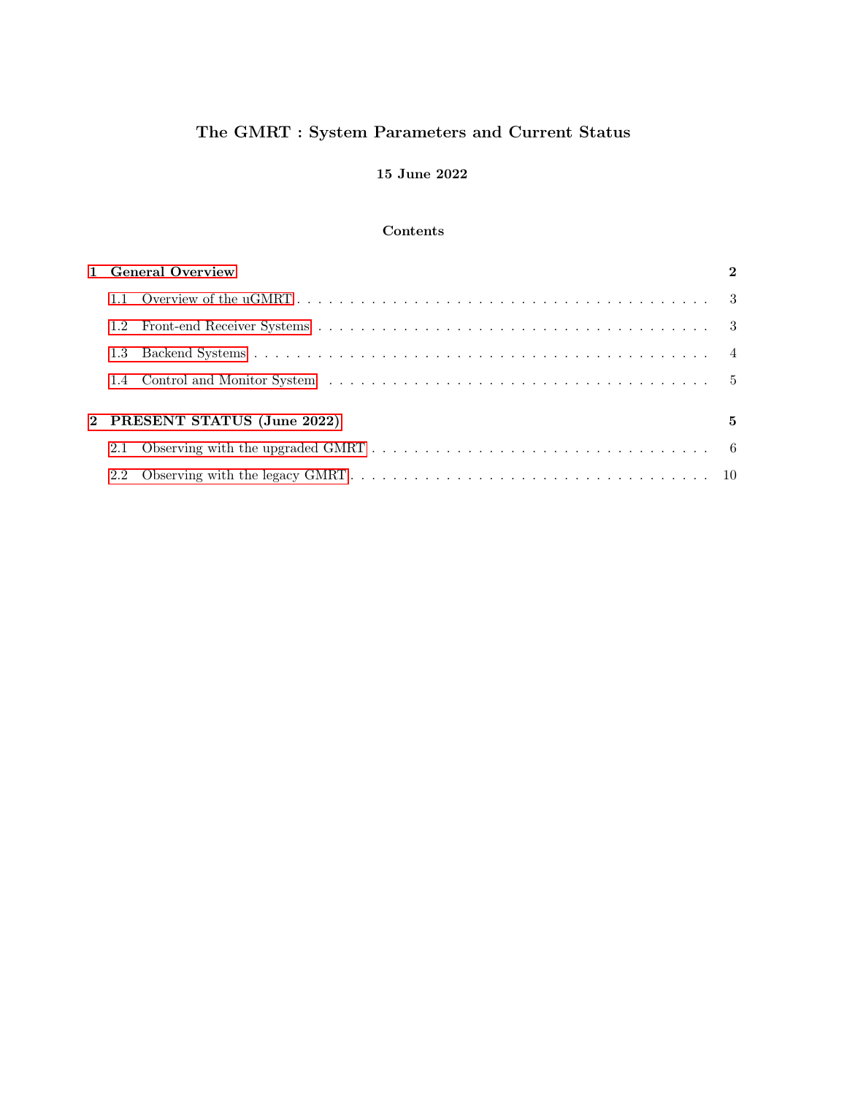# The GMRT : System Parameters and Current Status

## 15 June 2022

### Contents

| 1 General Overview                 |  |  |  |  |  |  |
|------------------------------------|--|--|--|--|--|--|
|                                    |  |  |  |  |  |  |
| 1.2                                |  |  |  |  |  |  |
| 1.3                                |  |  |  |  |  |  |
| 1.4                                |  |  |  |  |  |  |
| 2 PRESENT STATUS (June 2022)<br>5. |  |  |  |  |  |  |
| 2.1                                |  |  |  |  |  |  |
| 2.2                                |  |  |  |  |  |  |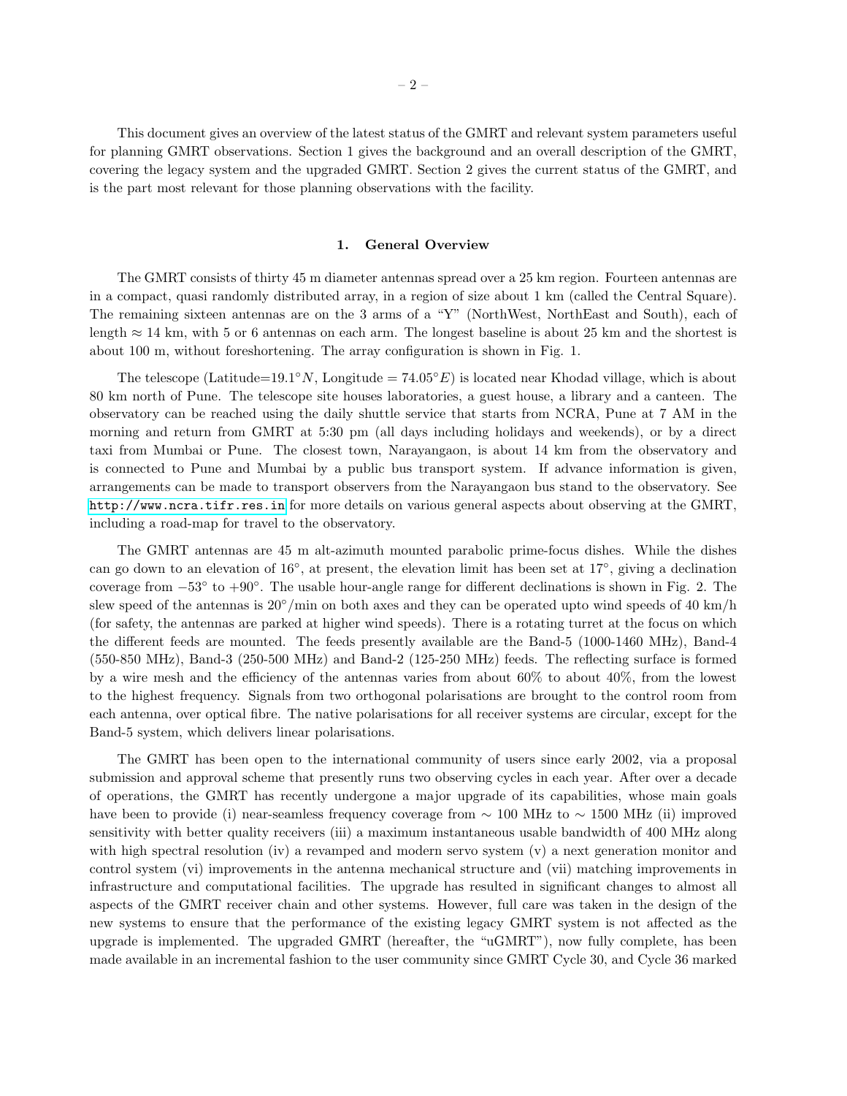This document gives an overview of the latest status of the GMRT and relevant system parameters useful for planning GMRT observations. Section 1 gives the background and an overall description of the GMRT, covering the legacy system and the upgraded GMRT. Section 2 gives the current status of the GMRT, and is the part most relevant for those planning observations with the facility.

#### 1. General Overview

<span id="page-1-0"></span>The GMRT consists of thirty 45 m diameter antennas spread over a 25 km region. Fourteen antennas are in a compact, quasi randomly distributed array, in a region of size about 1 km (called the Central Square). The remaining sixteen antennas are on the 3 arms of a "Y" (NorthWest, NorthEast and South), each of length  $\approx 14$  km, with 5 or 6 antennas on each arm. The longest baseline is about 25 km and the shortest is about 100 m, without foreshortening. The array configuration is shown in Fig. 1.

The telescope (Latitude=19.1°N, Longitude =  $74.05°E$ ) is located near Khodad village, which is about 80 km north of Pune. The telescope site houses laboratories, a guest house, a library and a canteen. The observatory can be reached using the daily shuttle service that starts from NCRA, Pune at 7 AM in the morning and return from GMRT at 5:30 pm (all days including holidays and weekends), or by a direct taxi from Mumbai or Pune. The closest town, Narayangaon, is about 14 km from the observatory and is connected to Pune and Mumbai by a public bus transport system. If advance information is given, arrangements can be made to transport observers from the Narayangaon bus stand to the observatory. See <http://www.ncra.tifr.res.in> for more details on various general aspects about observing at the GMRT, including a road-map for travel to the observatory.

The GMRT antennas are 45 m alt-azimuth mounted parabolic prime-focus dishes. While the dishes can go down to an elevation of 16°, at present, the elevation limit has been set at 17°, giving a declination coverage from  $-53°$  to  $+90°$ . The usable hour-angle range for different declinations is shown in Fig. 2. The slew speed of the antennas is  $20°/\text{min}$  on both axes and they can be operated upto wind speeds of 40 km/h (for safety, the antennas are parked at higher wind speeds). There is a rotating turret at the focus on which the different feeds are mounted. The feeds presently available are the Band-5 (1000-1460 MHz), Band-4 (550-850 MHz), Band-3 (250-500 MHz) and Band-2 (125-250 MHz) feeds. The reflecting surface is formed by a wire mesh and the efficiency of the antennas varies from about  $60\%$  to about  $40\%$ , from the lowest to the highest frequency. Signals from two orthogonal polarisations are brought to the control room from each antenna, over optical fibre. The native polarisations for all receiver systems are circular, except for the Band-5 system, which delivers linear polarisations.

The GMRT has been open to the international community of users since early 2002, via a proposal submission and approval scheme that presently runs two observing cycles in each year. After over a decade of operations, the GMRT has recently undergone a major upgrade of its capabilities, whose main goals have been to provide (i) near-seamless frequency coverage from  $\sim 100$  MHz to  $\sim 1500$  MHz (ii) improved sensitivity with better quality receivers (iii) a maximum instantaneous usable bandwidth of 400 MHz along with high spectral resolution (iv) a revamped and modern servo system (v) a next generation monitor and control system (vi) improvements in the antenna mechanical structure and (vii) matching improvements in infrastructure and computational facilities. The upgrade has resulted in significant changes to almost all aspects of the GMRT receiver chain and other systems. However, full care was taken in the design of the new systems to ensure that the performance of the existing legacy GMRT system is not affected as the upgrade is implemented. The upgraded GMRT (hereafter, the "uGMRT"), now fully complete, has been made available in an incremental fashion to the user community since GMRT Cycle 30, and Cycle 36 marked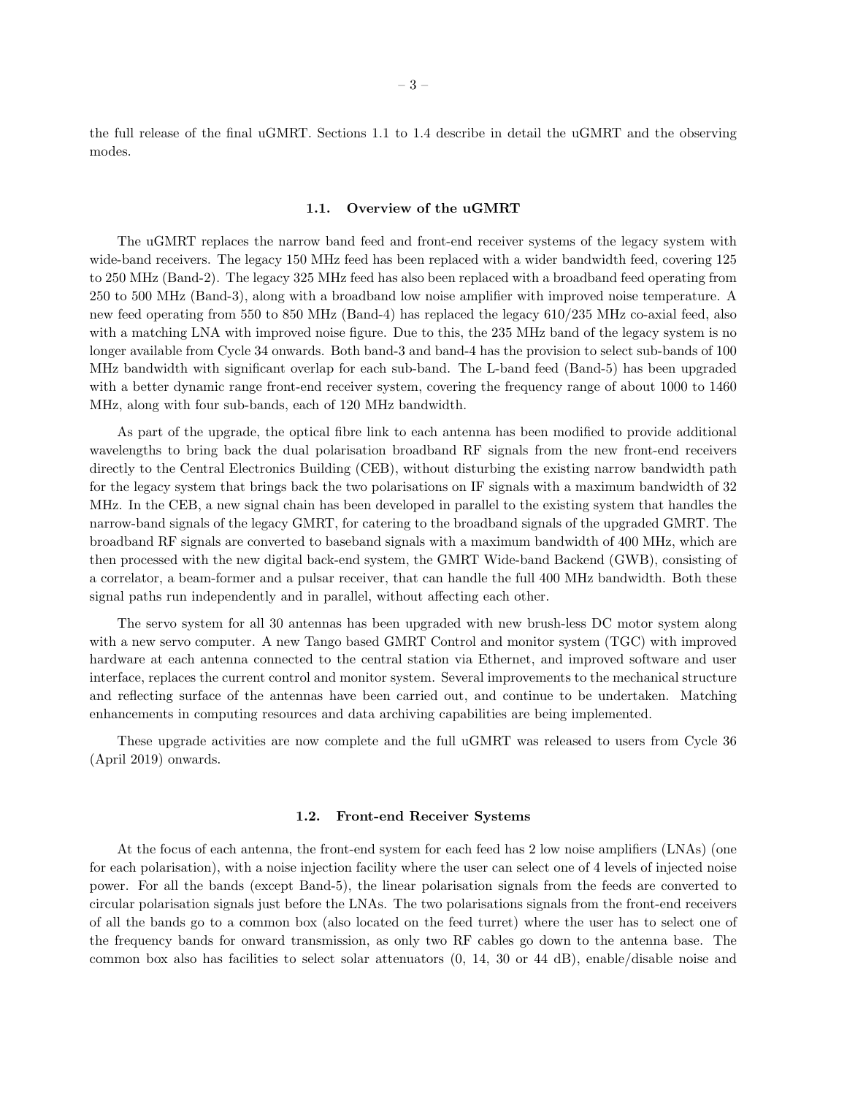the full release of the final uGMRT. Sections 1.1 to 1.4 describe in detail the uGMRT and the observing modes.

#### 1.1. Overview of the uGMRT

<span id="page-2-0"></span>The uGMRT replaces the narrow band feed and front-end receiver systems of the legacy system with wide-band receivers. The legacy 150 MHz feed has been replaced with a wider bandwidth feed, covering 125 to 250 MHz (Band-2). The legacy 325 MHz feed has also been replaced with a broadband feed operating from 250 to 500 MHz (Band-3), along with a broadband low noise amplifier with improved noise temperature. A new feed operating from 550 to 850 MHz (Band-4) has replaced the legacy 610/235 MHz co-axial feed, also with a matching LNA with improved noise figure. Due to this, the 235 MHz band of the legacy system is no longer available from Cycle 34 onwards. Both band-3 and band-4 has the provision to select sub-bands of 100 MHz bandwidth with significant overlap for each sub-band. The L-band feed (Band-5) has been upgraded with a better dynamic range front-end receiver system, covering the frequency range of about 1000 to 1460 MHz, along with four sub-bands, each of 120 MHz bandwidth.

As part of the upgrade, the optical fibre link to each antenna has been modified to provide additional wavelengths to bring back the dual polarisation broadband RF signals from the new front-end receivers directly to the Central Electronics Building (CEB), without disturbing the existing narrow bandwidth path for the legacy system that brings back the two polarisations on IF signals with a maximum bandwidth of 32 MHz. In the CEB, a new signal chain has been developed in parallel to the existing system that handles the narrow-band signals of the legacy GMRT, for catering to the broadband signals of the upgraded GMRT. The broadband RF signals are converted to baseband signals with a maximum bandwidth of 400 MHz, which are then processed with the new digital back-end system, the GMRT Wide-band Backend (GWB), consisting of a correlator, a beam-former and a pulsar receiver, that can handle the full 400 MHz bandwidth. Both these signal paths run independently and in parallel, without affecting each other.

The servo system for all 30 antennas has been upgraded with new brush-less DC motor system along with a new servo computer. A new Tango based GMRT Control and monitor system (TGC) with improved hardware at each antenna connected to the central station via Ethernet, and improved software and user interface, replaces the current control and monitor system. Several improvements to the mechanical structure and reflecting surface of the antennas have been carried out, and continue to be undertaken. Matching enhancements in computing resources and data archiving capabilities are being implemented.

These upgrade activities are now complete and the full uGMRT was released to users from Cycle 36 (April 2019) onwards.

#### 1.2. Front-end Receiver Systems

<span id="page-2-1"></span>At the focus of each antenna, the front-end system for each feed has 2 low noise amplifiers (LNAs) (one for each polarisation), with a noise injection facility where the user can select one of 4 levels of injected noise power. For all the bands (except Band-5), the linear polarisation signals from the feeds are converted to circular polarisation signals just before the LNAs. The two polarisations signals from the front-end receivers of all the bands go to a common box (also located on the feed turret) where the user has to select one of the frequency bands for onward transmission, as only two RF cables go down to the antenna base. The common box also has facilities to select solar attenuators (0, 14, 30 or 44 dB), enable/disable noise and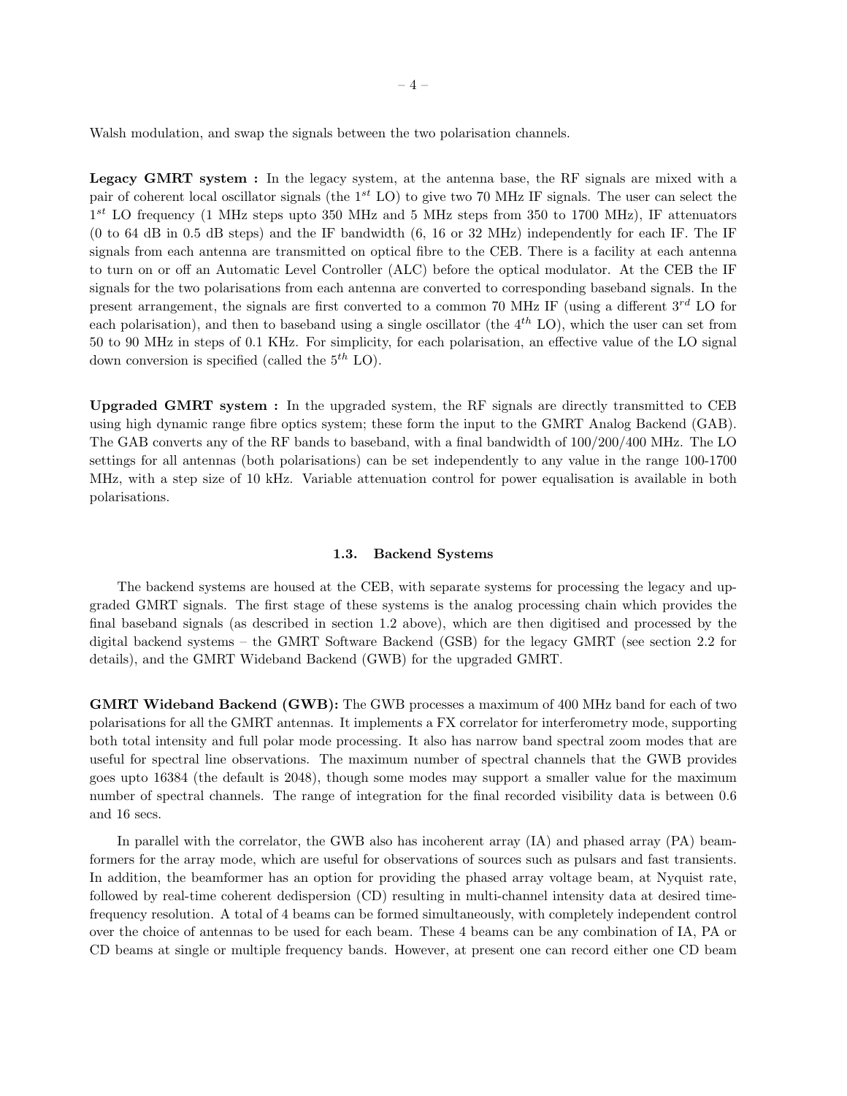Walsh modulation, and swap the signals between the two polarisation channels.

Legacy GMRT system: In the legacy system, at the antenna base, the RF signals are mixed with a pair of coherent local oscillator signals (the  $1^{st}$  LO) to give two 70 MHz IF signals. The user can select the 1<sup>st</sup> LO frequency (1 MHz steps upto 350 MHz and 5 MHz steps from 350 to 1700 MHz), IF attenuators (0 to 64 dB in 0.5 dB steps) and the IF bandwidth (6, 16 or 32 MHz) independently for each IF. The IF signals from each antenna are transmitted on optical fibre to the CEB. There is a facility at each antenna to turn on or off an Automatic Level Controller (ALC) before the optical modulator. At the CEB the IF signals for the two polarisations from each antenna are converted to corresponding baseband signals. In the present arrangement, the signals are first converted to a common 70 MHz IF (using a different  $3^{rd}$  LO for each polarisation), and then to baseband using a single oscillator (the  $4^{th}$  LO), which the user can set from 50 to 90 MHz in steps of 0.1 KHz. For simplicity, for each polarisation, an effective value of the LO signal down conversion is specified (called the  $5^{th}$  LO).

Upgraded GMRT system : In the upgraded system, the RF signals are directly transmitted to CEB using high dynamic range fibre optics system; these form the input to the GMRT Analog Backend (GAB). The GAB converts any of the RF bands to baseband, with a final bandwidth of 100/200/400 MHz. The LO settings for all antennas (both polarisations) can be set independently to any value in the range 100-1700 MHz, with a step size of 10 kHz. Variable attenuation control for power equalisation is available in both polarisations.

#### 1.3. Backend Systems

<span id="page-3-0"></span>The backend systems are housed at the CEB, with separate systems for processing the legacy and upgraded GMRT signals. The first stage of these systems is the analog processing chain which provides the final baseband signals (as described in section 1.2 above), which are then digitised and processed by the digital backend systems – the GMRT Software Backend (GSB) for the legacy GMRT (see section 2.2 for details), and the GMRT Wideband Backend (GWB) for the upgraded GMRT.

GMRT Wideband Backend (GWB): The GWB processes a maximum of 400 MHz band for each of two polarisations for all the GMRT antennas. It implements a FX correlator for interferometry mode, supporting both total intensity and full polar mode processing. It also has narrow band spectral zoom modes that are useful for spectral line observations. The maximum number of spectral channels that the GWB provides goes upto 16384 (the default is 2048), though some modes may support a smaller value for the maximum number of spectral channels. The range of integration for the final recorded visibility data is between 0.6 and 16 secs.

In parallel with the correlator, the GWB also has incoherent array (IA) and phased array (PA) beamformers for the array mode, which are useful for observations of sources such as pulsars and fast transients. In addition, the beamformer has an option for providing the phased array voltage beam, at Nyquist rate, followed by real-time coherent dedispersion (CD) resulting in multi-channel intensity data at desired timefrequency resolution. A total of 4 beams can be formed simultaneously, with completely independent control over the choice of antennas to be used for each beam. These 4 beams can be any combination of IA, PA or CD beams at single or multiple frequency bands. However, at present one can record either one CD beam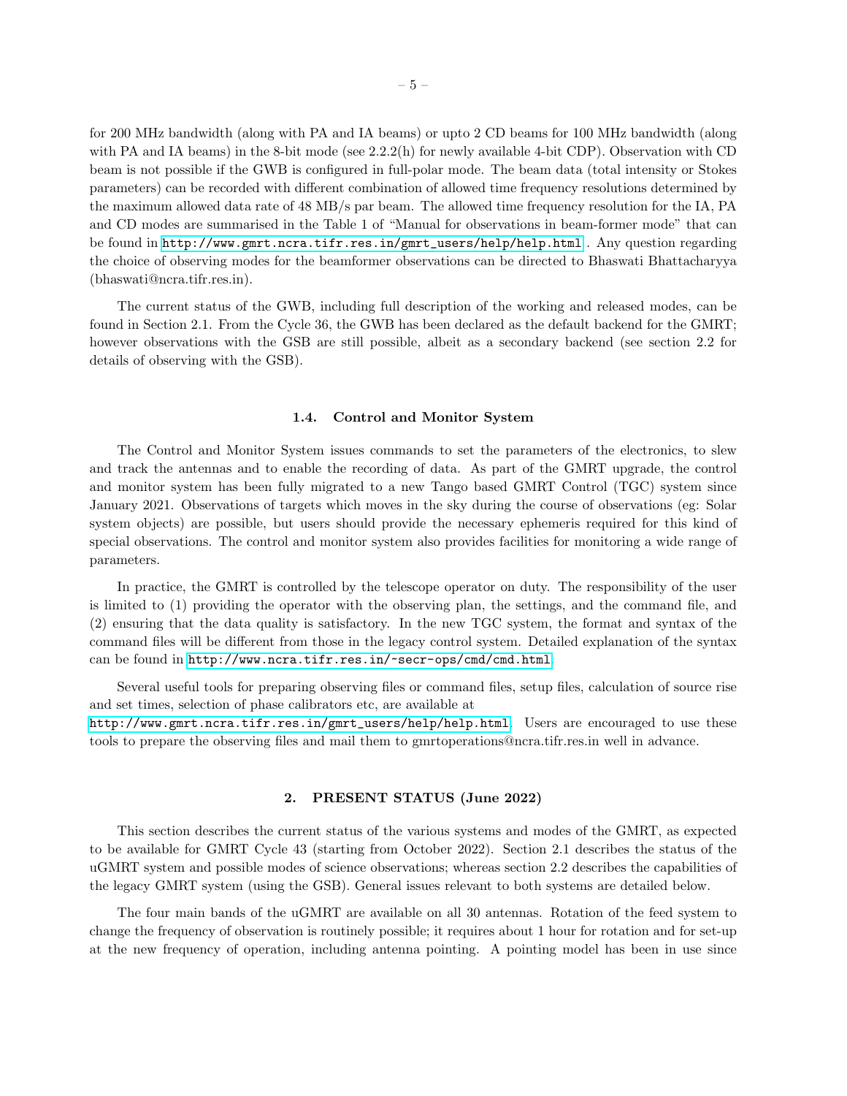for 200 MHz bandwidth (along with PA and IA beams) or upto 2 CD beams for 100 MHz bandwidth (along with PA and IA beams) in the 8-bit mode (see  $2.2.2(h)$  for newly available 4-bit CDP). Observation with CD beam is not possible if the GWB is configured in full-polar mode. The beam data (total intensity or Stokes parameters) can be recorded with different combination of allowed time frequency resolutions determined by the maximum allowed data rate of 48 MB/s par beam. The allowed time frequency resolution for the IA, PA and CD modes are summarised in the Table 1 of "Manual for observations in beam-former mode" that can be found in [http://www.gmrt.ncra.tifr.res.in/gmrt\\_users/help/help.html](http://www.gmrt.ncra.tifr.res.in/gmrt_users/help/help.html) . Any question regarding the choice of observing modes for the beamformer observations can be directed to Bhaswati Bhattacharyya (bhaswati@ncra.tifr.res.in).

The current status of the GWB, including full description of the working and released modes, can be found in Section 2.1. From the Cycle 36, the GWB has been declared as the default backend for the GMRT; however observations with the GSB are still possible, albeit as a secondary backend (see section 2.2 for details of observing with the GSB).

#### 1.4. Control and Monitor System

<span id="page-4-0"></span>The Control and Monitor System issues commands to set the parameters of the electronics, to slew and track the antennas and to enable the recording of data. As part of the GMRT upgrade, the control and monitor system has been fully migrated to a new Tango based GMRT Control (TGC) system since January 2021. Observations of targets which moves in the sky during the course of observations (eg: Solar system objects) are possible, but users should provide the necessary ephemeris required for this kind of special observations. The control and monitor system also provides facilities for monitoring a wide range of parameters.

In practice, the GMRT is controlled by the telescope operator on duty. The responsibility of the user is limited to (1) providing the operator with the observing plan, the settings, and the command file, and (2) ensuring that the data quality is satisfactory. In the new TGC system, the format and syntax of the command files will be different from those in the legacy control system. Detailed explanation of the syntax can be found in <http://www.ncra.tifr.res.in/~secr-ops/cmd/cmd.html>.

Several useful tools for preparing observing files or command files, setup files, calculation of source rise and set times, selection of phase calibrators etc, are available at

[http://www.gmrt.ncra.tifr.res.in/gmrt\\_users/help/help.html](http://www.gmrt.ncra.tifr.res.in/gmrt_users/help/help.html). Users are encouraged to use these tools to prepare the observing files and mail them to gmrtoperations@ncra.tifr.res.in well in advance.

#### 2. PRESENT STATUS (June 2022)

<span id="page-4-1"></span>This section describes the current status of the various systems and modes of the GMRT, as expected to be available for GMRT Cycle 43 (starting from October 2022). Section 2.1 describes the status of the uGMRT system and possible modes of science observations; whereas section 2.2 describes the capabilities of the legacy GMRT system (using the GSB). General issues relevant to both systems are detailed below.

The four main bands of the uGMRT are available on all 30 antennas. Rotation of the feed system to change the frequency of observation is routinely possible; it requires about 1 hour for rotation and for set-up at the new frequency of operation, including antenna pointing. A pointing model has been in use since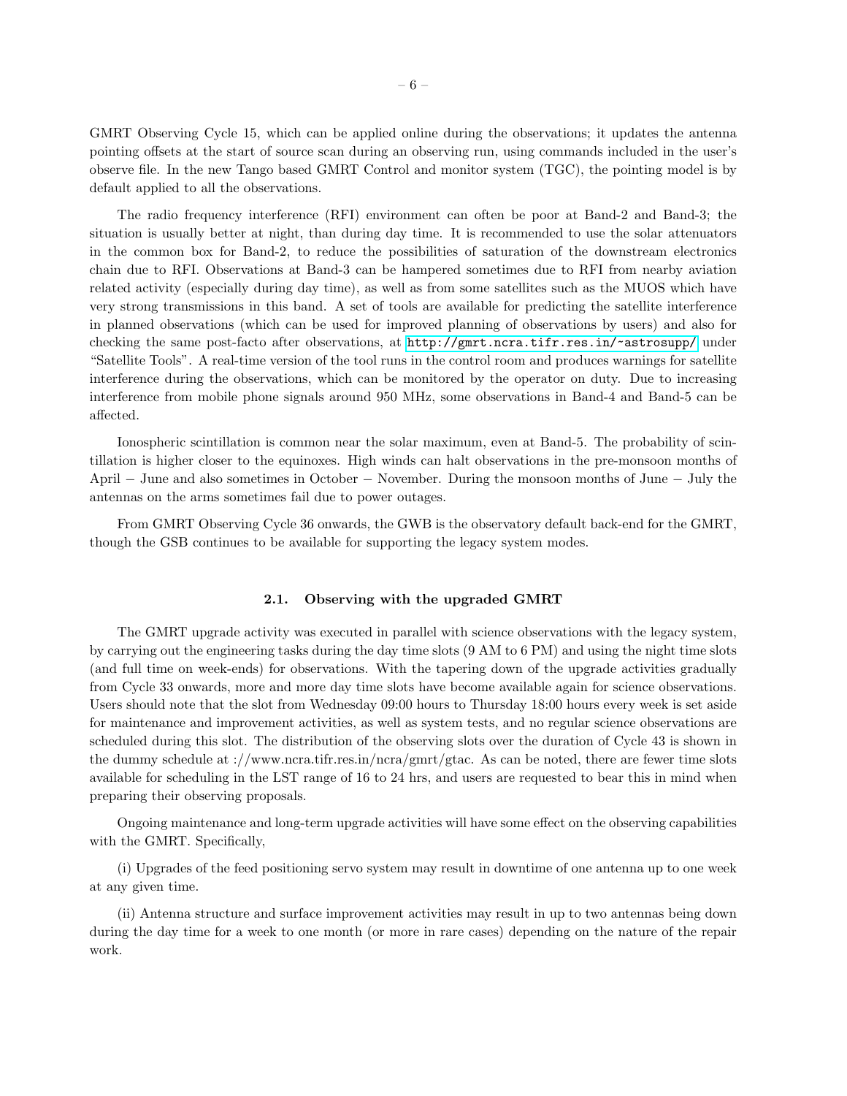GMRT Observing Cycle 15, which can be applied online during the observations; it updates the antenna pointing offsets at the start of source scan during an observing run, using commands included in the user's observe file. In the new Tango based GMRT Control and monitor system (TGC), the pointing model is by default applied to all the observations.

The radio frequency interference (RFI) environment can often be poor at Band-2 and Band-3; the situation is usually better at night, than during day time. It is recommended to use the solar attenuators in the common box for Band-2, to reduce the possibilities of saturation of the downstream electronics chain due to RFI. Observations at Band-3 can be hampered sometimes due to RFI from nearby aviation related activity (especially during day time), as well as from some satellites such as the MUOS which have very strong transmissions in this band. A set of tools are available for predicting the satellite interference in planned observations (which can be used for improved planning of observations by users) and also for checking the same post-facto after observations, at <http://gmrt.ncra.tifr.res.in/~astrosupp/> under "Satellite Tools". A real-time version of the tool runs in the control room and produces warnings for satellite interference during the observations, which can be monitored by the operator on duty. Due to increasing interference from mobile phone signals around 950 MHz, some observations in Band-4 and Band-5 can be affected.

Ionospheric scintillation is common near the solar maximum, even at Band-5. The probability of scintillation is higher closer to the equinoxes. High winds can halt observations in the pre-monsoon months of April − June and also sometimes in October − November. During the monsoon months of June − July the antennas on the arms sometimes fail due to power outages.

From GMRT Observing Cycle 36 onwards, the GWB is the observatory default back-end for the GMRT, though the GSB continues to be available for supporting the legacy system modes.

#### 2.1. Observing with the upgraded GMRT

<span id="page-5-0"></span>The GMRT upgrade activity was executed in parallel with science observations with the legacy system, by carrying out the engineering tasks during the day time slots (9 AM to 6 PM) and using the night time slots (and full time on week-ends) for observations. With the tapering down of the upgrade activities gradually from Cycle 33 onwards, more and more day time slots have become available again for science observations. Users should note that the slot from Wednesday 09:00 hours to Thursday 18:00 hours every week is set aside for maintenance and improvement activities, as well as system tests, and no regular science observations are scheduled during this slot. The distribution of the observing slots over the duration of Cycle 43 is shown in the dummy schedule at ://www.ncra.tifr.res.in/ncra/gmrt/gtac. As can be noted, there are fewer time slots available for scheduling in the LST range of 16 to 24 hrs, and users are requested to bear this in mind when preparing their observing proposals.

Ongoing maintenance and long-term upgrade activities will have some effect on the observing capabilities with the GMRT. Specifically,

(i) Upgrades of the feed positioning servo system may result in downtime of one antenna up to one week at any given time.

(ii) Antenna structure and surface improvement activities may result in up to two antennas being down during the day time for a week to one month (or more in rare cases) depending on the nature of the repair work.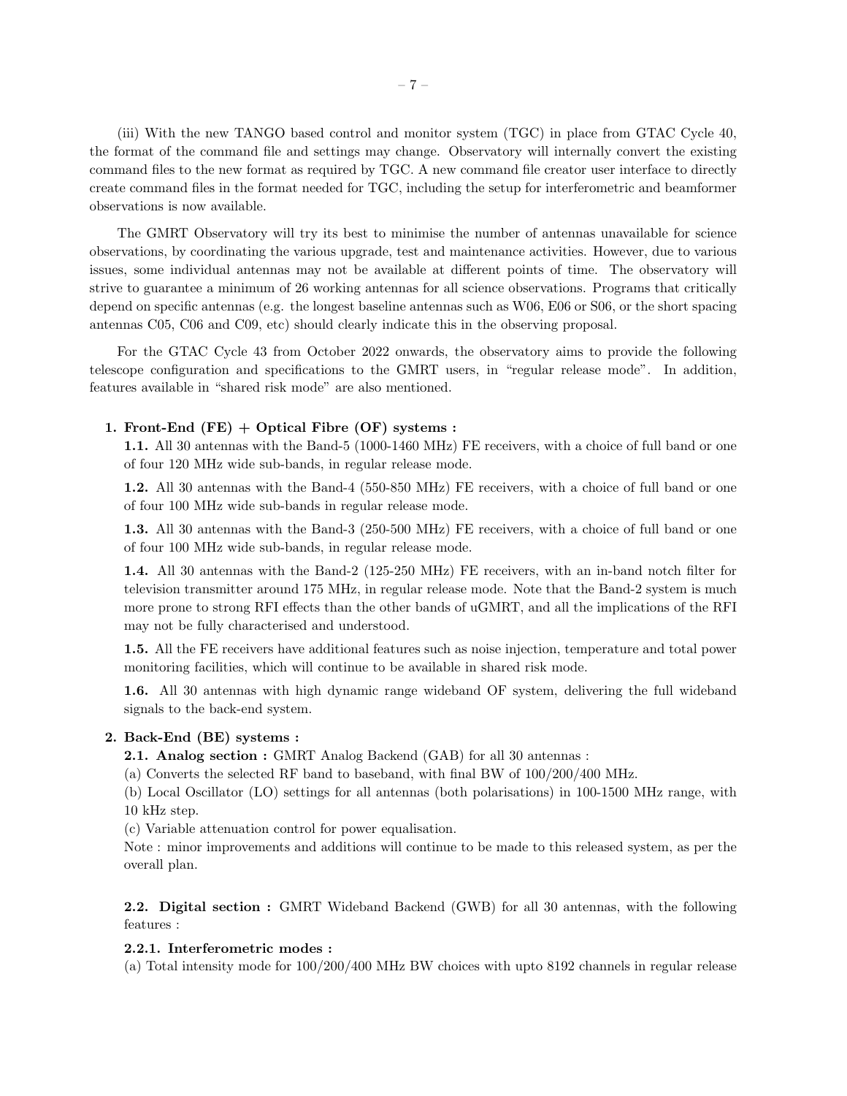(iii) With the new TANGO based control and monitor system (TGC) in place from GTAC Cycle 40, the format of the command file and settings may change. Observatory will internally convert the existing command files to the new format as required by TGC. A new command file creator user interface to directly create command files in the format needed for TGC, including the setup for interferometric and beamformer observations is now available.

The GMRT Observatory will try its best to minimise the number of antennas unavailable for science observations, by coordinating the various upgrade, test and maintenance activities. However, due to various issues, some individual antennas may not be available at different points of time. The observatory will strive to guarantee a minimum of 26 working antennas for all science observations. Programs that critically depend on specific antennas (e.g. the longest baseline antennas such as W06, E06 or S06, or the short spacing antennas C05, C06 and C09, etc) should clearly indicate this in the observing proposal.

For the GTAC Cycle 43 from October 2022 onwards, the observatory aims to provide the following telescope configuration and specifications to the GMRT users, in "regular release mode". In addition, features available in "shared risk mode" are also mentioned.

#### 1. Front-End  $(FE) + Optical Fibre (OF) systems:$

1.1. All 30 antennas with the Band-5 (1000-1460 MHz) FE receivers, with a choice of full band or one of four 120 MHz wide sub-bands, in regular release mode.

1.2. All 30 antennas with the Band-4 (550-850 MHz) FE receivers, with a choice of full band or one of four 100 MHz wide sub-bands in regular release mode.

1.3. All 30 antennas with the Band-3 (250-500 MHz) FE receivers, with a choice of full band or one of four 100 MHz wide sub-bands, in regular release mode.

1.4. All 30 antennas with the Band-2 (125-250 MHz) FE receivers, with an in-band notch filter for television transmitter around 175 MHz, in regular release mode. Note that the Band-2 system is much more prone to strong RFI effects than the other bands of uGMRT, and all the implications of the RFI may not be fully characterised and understood.

1.5. All the FE receivers have additional features such as noise injection, temperature and total power monitoring facilities, which will continue to be available in shared risk mode.

1.6. All 30 antennas with high dynamic range wideband OF system, delivering the full wideband signals to the back-end system.

#### 2. Back-End (BE) systems :

2.1. Analog section : GMRT Analog Backend (GAB) for all 30 antennas :

(a) Converts the selected RF band to baseband, with final BW of 100/200/400 MHz.

(b) Local Oscillator (LO) settings for all antennas (both polarisations) in 100-1500 MHz range, with 10 kHz step.

(c) Variable attenuation control for power equalisation.

Note : minor improvements and additions will continue to be made to this released system, as per the overall plan.

2.2. Digital section : GMRT Wideband Backend (GWB) for all 30 antennas, with the following features :

#### 2.2.1. Interferometric modes :

(a) Total intensity mode for 100/200/400 MHz BW choices with upto 8192 channels in regular release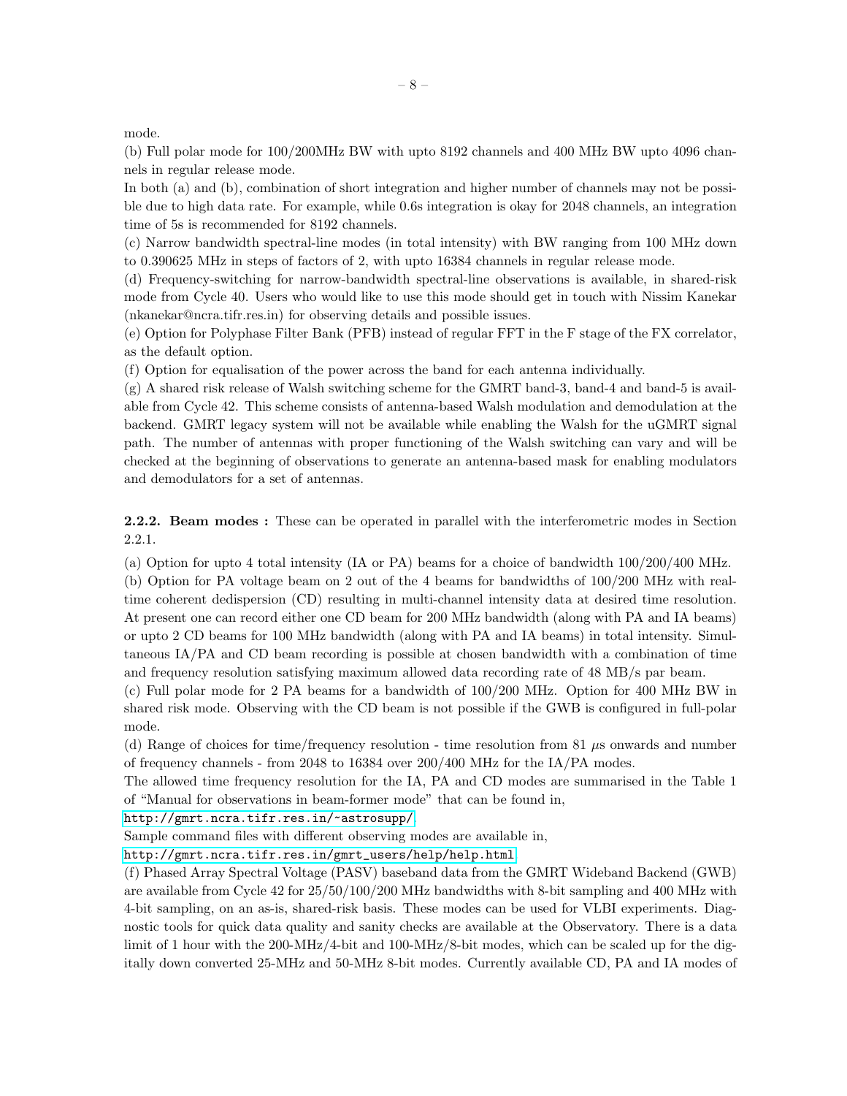mode.

(b) Full polar mode for 100/200MHz BW with upto 8192 channels and 400 MHz BW upto 4096 channels in regular release mode.

In both (a) and (b), combination of short integration and higher number of channels may not be possible due to high data rate. For example, while 0.6s integration is okay for 2048 channels, an integration time of 5s is recommended for 8192 channels.

(c) Narrow bandwidth spectral-line modes (in total intensity) with BW ranging from 100 MHz down to 0.390625 MHz in steps of factors of 2, with upto 16384 channels in regular release mode.

(d) Frequency-switching for narrow-bandwidth spectral-line observations is available, in shared-risk mode from Cycle 40. Users who would like to use this mode should get in touch with Nissim Kanekar (nkanekar@ncra.tifr.res.in) for observing details and possible issues.

(e) Option for Polyphase Filter Bank (PFB) instead of regular FFT in the F stage of the FX correlator, as the default option.

(f) Option for equalisation of the power across the band for each antenna individually.

(g) A shared risk release of Walsh switching scheme for the GMRT band-3, band-4 and band-5 is available from Cycle 42. This scheme consists of antenna-based Walsh modulation and demodulation at the backend. GMRT legacy system will not be available while enabling the Walsh for the uGMRT signal path. The number of antennas with proper functioning of the Walsh switching can vary and will be checked at the beginning of observations to generate an antenna-based mask for enabling modulators and demodulators for a set of antennas.

2.2.2. Beam modes : These can be operated in parallel with the interferometric modes in Section 2.2.1.

(a) Option for upto 4 total intensity (IA or PA) beams for a choice of bandwidth 100/200/400 MHz.

(b) Option for PA voltage beam on 2 out of the 4 beams for bandwidths of 100/200 MHz with realtime coherent dedispersion (CD) resulting in multi-channel intensity data at desired time resolution. At present one can record either one CD beam for 200 MHz bandwidth (along with PA and IA beams) or upto 2 CD beams for 100 MHz bandwidth (along with PA and IA beams) in total intensity. Simultaneous IA/PA and CD beam recording is possible at chosen bandwidth with a combination of time and frequency resolution satisfying maximum allowed data recording rate of 48 MB/s par beam.

(c) Full polar mode for 2 PA beams for a bandwidth of 100/200 MHz. Option for 400 MHz BW in shared risk mode. Observing with the CD beam is not possible if the GWB is configured in full-polar mode.

(d) Range of choices for time/frequency resolution - time resolution from 81  $\mu$ s onwards and number of frequency channels - from 2048 to 16384 over 200/400 MHz for the IA/PA modes.

The allowed time frequency resolution for the IA, PA and CD modes are summarised in the Table 1 of "Manual for observations in beam-former mode" that can be found in,

<http://gmrt.ncra.tifr.res.in/~astrosupp/>.

Sample command files with different observing modes are available in,

[http://gmrt.ncra.tifr.res.in/gmrt\\_users/help/help.html](http://gmrt.ncra.tifr.res.in/gmrt_users/help/help.html).

(f) Phased Array Spectral Voltage (PASV) baseband data from the GMRT Wideband Backend (GWB) are available from Cycle 42 for 25/50/100/200 MHz bandwidths with 8-bit sampling and 400 MHz with 4-bit sampling, on an as-is, shared-risk basis. These modes can be used for VLBI experiments. Diagnostic tools for quick data quality and sanity checks are available at the Observatory. There is a data limit of 1 hour with the 200-MHz/4-bit and 100-MHz/8-bit modes, which can be scaled up for the digitally down converted 25-MHz and 50-MHz 8-bit modes. Currently available CD, PA and IA modes of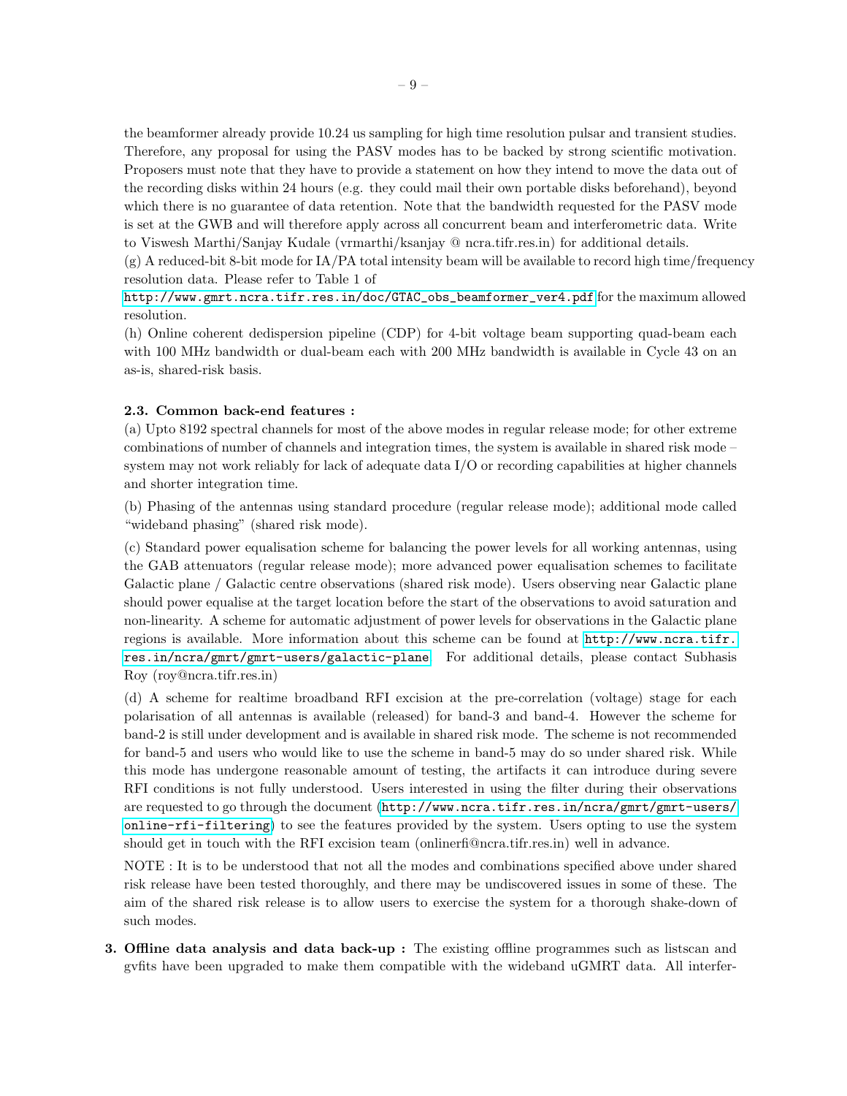the beamformer already provide 10.24 us sampling for high time resolution pulsar and transient studies. Therefore, any proposal for using the PASV modes has to be backed by strong scientific motivation. Proposers must note that they have to provide a statement on how they intend to move the data out of the recording disks within 24 hours (e.g. they could mail their own portable disks beforehand), beyond which there is no guarantee of data retention. Note that the bandwidth requested for the PASV mode is set at the GWB and will therefore apply across all concurrent beam and interferometric data. Write to Viswesh Marthi/Sanjay Kudale (vrmarthi/ksanjay @ ncra.tifr.res.in) for additional details.

 $(g)$  A reduced-bit 8-bit mode for IA/PA total intensity beam will be available to record high time/frequency resolution data. Please refer to Table 1 of

[http://www.gmrt.ncra.tifr.res.in/doc/GTAC\\_obs\\_beamformer\\_ver4.pdf](http://www.gmrt.ncra.tifr.res.in/doc/GTAC_obs_beamformer_ver4.pdf) for the maximum allowed resolution.

(h) Online coherent dedispersion pipeline (CDP) for 4-bit voltage beam supporting quad-beam each with 100 MHz bandwidth or dual-beam each with 200 MHz bandwidth is available in Cycle 43 on an as-is, shared-risk basis.

#### 2.3. Common back-end features :

(a) Upto 8192 spectral channels for most of the above modes in regular release mode; for other extreme combinations of number of channels and integration times, the system is available in shared risk mode – system may not work reliably for lack of adequate data I/O or recording capabilities at higher channels and shorter integration time.

(b) Phasing of the antennas using standard procedure (regular release mode); additional mode called "wideband phasing" (shared risk mode).

(c) Standard power equalisation scheme for balancing the power levels for all working antennas, using the GAB attenuators (regular release mode); more advanced power equalisation schemes to facilitate Galactic plane / Galactic centre observations (shared risk mode). Users observing near Galactic plane should power equalise at the target location before the start of the observations to avoid saturation and non-linearity. A scheme for automatic adjustment of power levels for observations in the Galactic plane regions is available. More information about this scheme can be found at [http://www.ncra.tifr.](http://www.ncra.tifr.res.in/ncra/gmrt/gmrt-users/galactic-plane) [res.in/ncra/gmrt/gmrt-users/galactic-plane](http://www.ncra.tifr.res.in/ncra/gmrt/gmrt-users/galactic-plane). For additional details, please contact Subhasis Roy (roy@ncra.tifr.res.in)

(d) A scheme for realtime broadband RFI excision at the pre-correlation (voltage) stage for each polarisation of all antennas is available (released) for band-3 and band-4. However the scheme for band-2 is still under development and is available in shared risk mode. The scheme is not recommended for band-5 and users who would like to use the scheme in band-5 may do so under shared risk. While this mode has undergone reasonable amount of testing, the artifacts it can introduce during severe RFI conditions is not fully understood. Users interested in using the filter during their observations are requested to go through the document ([http://www.ncra.tifr.res.in/ncra/gmrt/gmrt-users/](http://www.ncra.tifr.res.in/ncra/gmrt/gmrt-users/online-rfi-filtering) [online-rfi-filtering](http://www.ncra.tifr.res.in/ncra/gmrt/gmrt-users/online-rfi-filtering)) to see the features provided by the system. Users opting to use the system should get in touch with the RFI excision team (onlinerfi@ncra.tifr.res.in) well in advance.

NOTE : It is to be understood that not all the modes and combinations specified above under shared risk release have been tested thoroughly, and there may be undiscovered issues in some of these. The aim of the shared risk release is to allow users to exercise the system for a thorough shake-down of such modes.

3. Offline data analysis and data back-up : The existing offline programmes such as listscan and gvfits have been upgraded to make them compatible with the wideband uGMRT data. All interfer-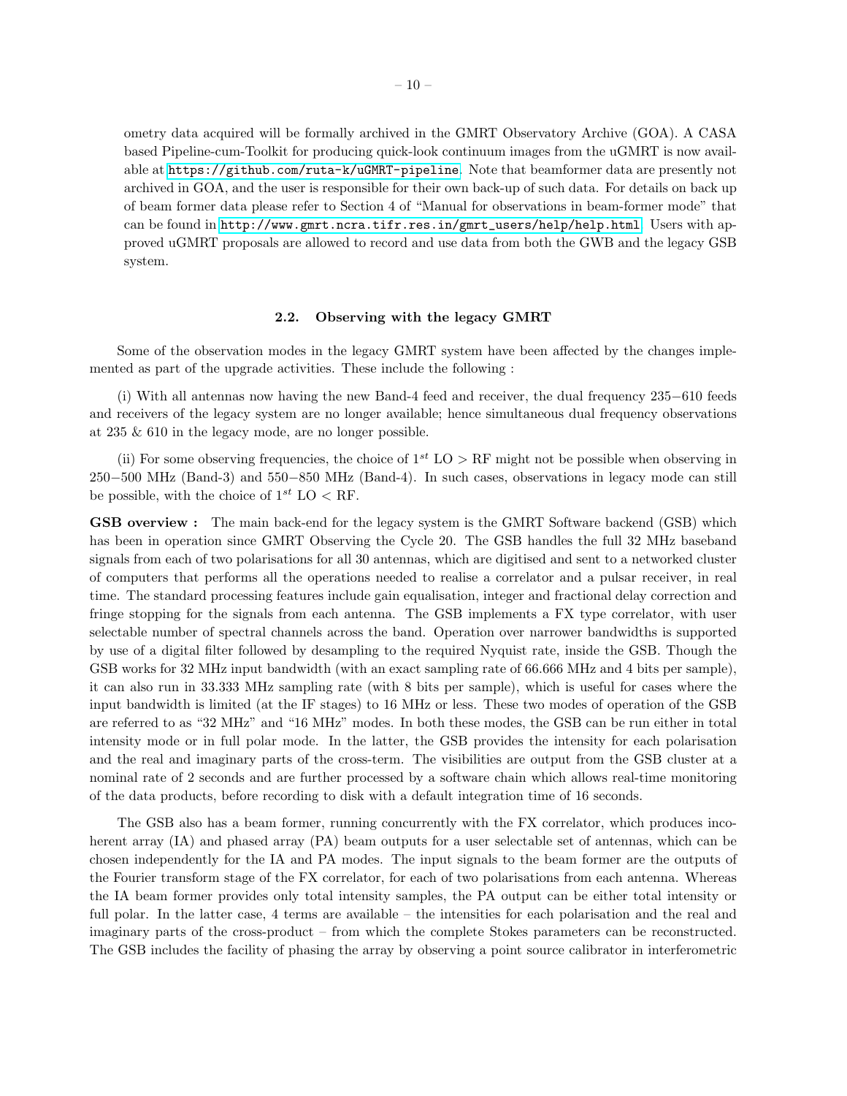ometry data acquired will be formally archived in the GMRT Observatory Archive (GOA). A CASA based Pipeline-cum-Toolkit for producing quick-look continuum images from the uGMRT is now available at <https://github.com/ruta-k/uGMRT-pipeline>. Note that beamformer data are presently not archived in GOA, and the user is responsible for their own back-up of such data. For details on back up of beam former data please refer to Section 4 of "Manual for observations in beam-former mode" that can be found in [http://www.gmrt.ncra.tifr.res.in/gmrt\\_users/help/help.html](http://www.gmrt.ncra.tifr.res.in/gmrt_users/help/help.html). Users with approved uGMRT proposals are allowed to record and use data from both the GWB and the legacy GSB system.

#### 2.2. Observing with the legacy GMRT

<span id="page-9-0"></span>Some of the observation modes in the legacy GMRT system have been affected by the changes implemented as part of the upgrade activities. These include the following :

(i) With all antennas now having the new Band-4 feed and receiver, the dual frequency 235−610 feeds and receivers of the legacy system are no longer available; hence simultaneous dual frequency observations at 235 & 610 in the legacy mode, are no longer possible.

(ii) For some observing frequencies, the choice of  $1^{st}$  LO > RF might not be possible when observing in 250−500 MHz (Band-3) and 550−850 MHz (Band-4). In such cases, observations in legacy mode can still be possible, with the choice of  $1^{st}$  LO < RF.

GSB overview : The main back-end for the legacy system is the GMRT Software backend (GSB) which has been in operation since GMRT Observing the Cycle 20. The GSB handles the full 32 MHz baseband signals from each of two polarisations for all 30 antennas, which are digitised and sent to a networked cluster of computers that performs all the operations needed to realise a correlator and a pulsar receiver, in real time. The standard processing features include gain equalisation, integer and fractional delay correction and fringe stopping for the signals from each antenna. The GSB implements a FX type correlator, with user selectable number of spectral channels across the band. Operation over narrower bandwidths is supported by use of a digital filter followed by desampling to the required Nyquist rate, inside the GSB. Though the GSB works for 32 MHz input bandwidth (with an exact sampling rate of 66.666 MHz and 4 bits per sample), it can also run in 33.333 MHz sampling rate (with 8 bits per sample), which is useful for cases where the input bandwidth is limited (at the IF stages) to 16 MHz or less. These two modes of operation of the GSB are referred to as "32 MHz" and "16 MHz" modes. In both these modes, the GSB can be run either in total intensity mode or in full polar mode. In the latter, the GSB provides the intensity for each polarisation and the real and imaginary parts of the cross-term. The visibilities are output from the GSB cluster at a nominal rate of 2 seconds and are further processed by a software chain which allows real-time monitoring of the data products, before recording to disk with a default integration time of 16 seconds.

The GSB also has a beam former, running concurrently with the FX correlator, which produces incoherent array (IA) and phased array (PA) beam outputs for a user selectable set of antennas, which can be chosen independently for the IA and PA modes. The input signals to the beam former are the outputs of the Fourier transform stage of the FX correlator, for each of two polarisations from each antenna. Whereas the IA beam former provides only total intensity samples, the PA output can be either total intensity or full polar. In the latter case, 4 terms are available – the intensities for each polarisation and the real and imaginary parts of the cross-product – from which the complete Stokes parameters can be reconstructed. The GSB includes the facility of phasing the array by observing a point source calibrator in interferometric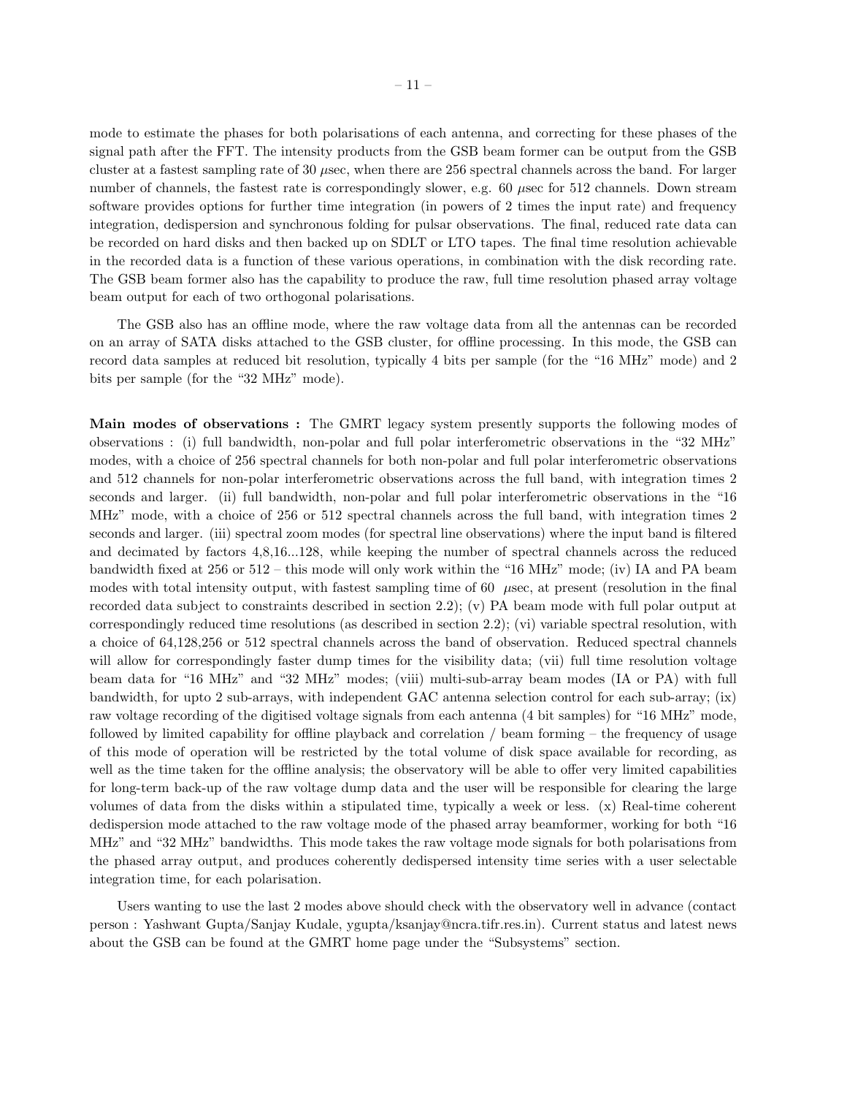mode to estimate the phases for both polarisations of each antenna, and correcting for these phases of the signal path after the FFT. The intensity products from the GSB beam former can be output from the GSB cluster at a fastest sampling rate of 30  $\mu$ sec, when there are 256 spectral channels across the band. For larger number of channels, the fastest rate is correspondingly slower, e.g. 60  $\mu$ sec for 512 channels. Down stream software provides options for further time integration (in powers of 2 times the input rate) and frequency integration, dedispersion and synchronous folding for pulsar observations. The final, reduced rate data can be recorded on hard disks and then backed up on SDLT or LTO tapes. The final time resolution achievable in the recorded data is a function of these various operations, in combination with the disk recording rate. The GSB beam former also has the capability to produce the raw, full time resolution phased array voltage beam output for each of two orthogonal polarisations.

The GSB also has an offline mode, where the raw voltage data from all the antennas can be recorded on an array of SATA disks attached to the GSB cluster, for offline processing. In this mode, the GSB can record data samples at reduced bit resolution, typically 4 bits per sample (for the "16 MHz" mode) and 2 bits per sample (for the "32 MHz" mode).

Main modes of observations : The GMRT legacy system presently supports the following modes of observations : (i) full bandwidth, non-polar and full polar interferometric observations in the "32 MHz" modes, with a choice of 256 spectral channels for both non-polar and full polar interferometric observations and 512 channels for non-polar interferometric observations across the full band, with integration times 2 seconds and larger. (ii) full bandwidth, non-polar and full polar interferometric observations in the "16 MHz" mode, with a choice of 256 or 512 spectral channels across the full band, with integration times 2 seconds and larger. (iii) spectral zoom modes (for spectral line observations) where the input band is filtered and decimated by factors 4,8,16...128, while keeping the number of spectral channels across the reduced bandwidth fixed at 256 or 512 – this mode will only work within the "16 MHz" mode; (iv) IA and PA beam modes with total intensity output, with fastest sampling time of 60  $\mu$ sec, at present (resolution in the final recorded data subject to constraints described in section 2.2); (v) PA beam mode with full polar output at correspondingly reduced time resolutions (as described in section 2.2); (vi) variable spectral resolution, with a choice of 64,128,256 or 512 spectral channels across the band of observation. Reduced spectral channels will allow for correspondingly faster dump times for the visibility data; (vii) full time resolution voltage beam data for "16 MHz" and "32 MHz" modes; (viii) multi-sub-array beam modes (IA or PA) with full bandwidth, for upto 2 sub-arrays, with independent GAC antenna selection control for each sub-array; (ix) raw voltage recording of the digitised voltage signals from each antenna (4 bit samples) for "16 MHz" mode, followed by limited capability for offline playback and correlation / beam forming – the frequency of usage of this mode of operation will be restricted by the total volume of disk space available for recording, as well as the time taken for the offline analysis; the observatory will be able to offer very limited capabilities for long-term back-up of the raw voltage dump data and the user will be responsible for clearing the large volumes of data from the disks within a stipulated time, typically a week or less. (x) Real-time coherent dedispersion mode attached to the raw voltage mode of the phased array beamformer, working for both "16 MHz" and "32 MHz" bandwidths. This mode takes the raw voltage mode signals for both polarisations from the phased array output, and produces coherently dedispersed intensity time series with a user selectable integration time, for each polarisation.

Users wanting to use the last 2 modes above should check with the observatory well in advance (contact person : Yashwant Gupta/Sanjay Kudale, ygupta/ksanjay@ncra.tifr.res.in). Current status and latest news about the GSB can be found at the GMRT home page under the "Subsystems" section.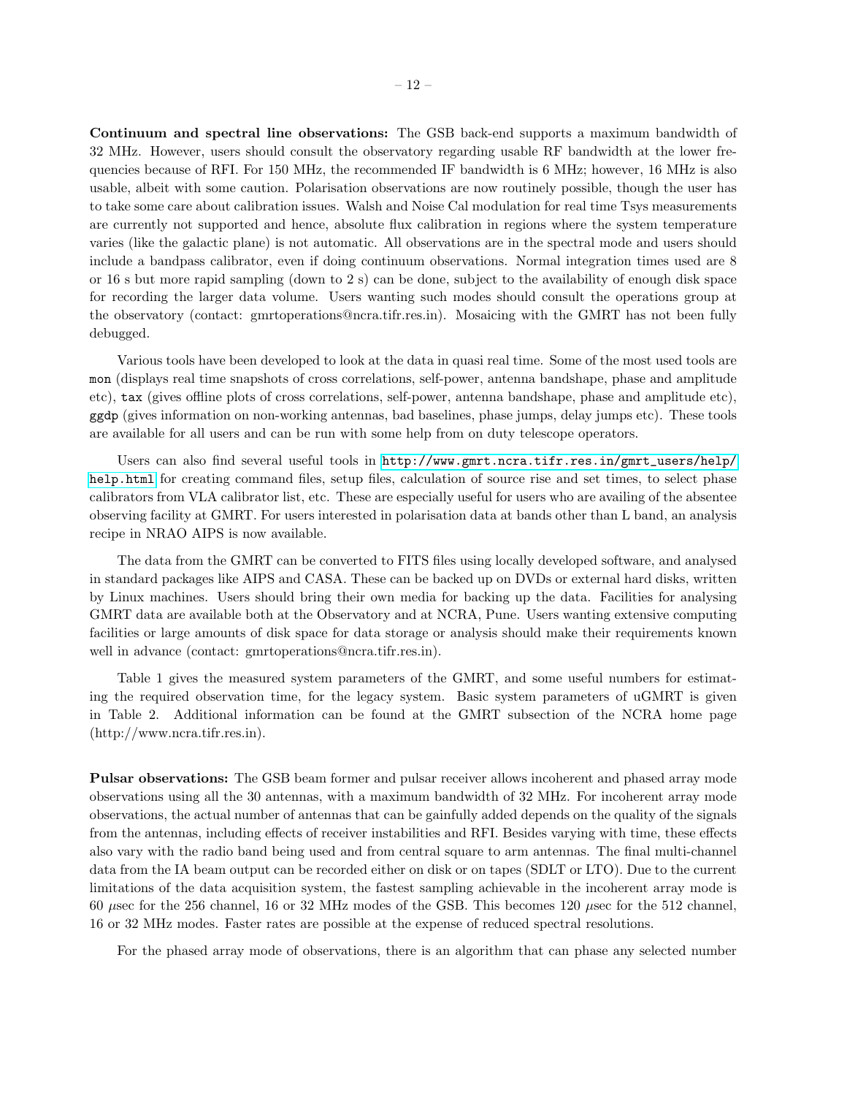Continuum and spectral line observations: The GSB back-end supports a maximum bandwidth of 32 MHz. However, users should consult the observatory regarding usable RF bandwidth at the lower frequencies because of RFI. For 150 MHz, the recommended IF bandwidth is 6 MHz; however, 16 MHz is also usable, albeit with some caution. Polarisation observations are now routinely possible, though the user has to take some care about calibration issues. Walsh and Noise Cal modulation for real time Tsys measurements are currently not supported and hence, absolute flux calibration in regions where the system temperature varies (like the galactic plane) is not automatic. All observations are in the spectral mode and users should include a bandpass calibrator, even if doing continuum observations. Normal integration times used are 8 or 16 s but more rapid sampling (down to 2 s) can be done, subject to the availability of enough disk space for recording the larger data volume. Users wanting such modes should consult the operations group at the observatory (contact: gmrtoperations@ncra.tifr.res.in). Mosaicing with the GMRT has not been fully debugged.

Various tools have been developed to look at the data in quasi real time. Some of the most used tools are mon (displays real time snapshots of cross correlations, self-power, antenna bandshape, phase and amplitude etc), tax (gives offline plots of cross correlations, self-power, antenna bandshape, phase and amplitude etc), ggdp (gives information on non-working antennas, bad baselines, phase jumps, delay jumps etc). These tools are available for all users and can be run with some help from on duty telescope operators.

Users can also find several useful tools in [http://www.gmrt.ncra.tifr.res.in/gmrt\\_users/help/](http://www.gmrt.ncra.tifr.res.in/gmrt_users/help/help.html) [help.html](http://www.gmrt.ncra.tifr.res.in/gmrt_users/help/help.html) for creating command files, setup files, calculation of source rise and set times, to select phase calibrators from VLA calibrator list, etc. These are especially useful for users who are availing of the absentee observing facility at GMRT. For users interested in polarisation data at bands other than L band, an analysis recipe in NRAO AIPS is now available.

The data from the GMRT can be converted to FITS files using locally developed software, and analysed in standard packages like AIPS and CASA. These can be backed up on DVDs or external hard disks, written by Linux machines. Users should bring their own media for backing up the data. Facilities for analysing GMRT data are available both at the Observatory and at NCRA, Pune. Users wanting extensive computing facilities or large amounts of disk space for data storage or analysis should make their requirements known well in advance (contact: gmrtoperations@ncra.tifr.res.in).

Table 1 gives the measured system parameters of the GMRT, and some useful numbers for estimating the required observation time, for the legacy system. Basic system parameters of uGMRT is given in Table 2. Additional information can be found at the GMRT subsection of the NCRA home page (http://www.ncra.tifr.res.in).

Pulsar observations: The GSB beam former and pulsar receiver allows incoherent and phased array mode observations using all the 30 antennas, with a maximum bandwidth of 32 MHz. For incoherent array mode observations, the actual number of antennas that can be gainfully added depends on the quality of the signals from the antennas, including effects of receiver instabilities and RFI. Besides varying with time, these effects also vary with the radio band being used and from central square to arm antennas. The final multi-channel data from the IA beam output can be recorded either on disk or on tapes (SDLT or LTO). Due to the current limitations of the data acquisition system, the fastest sampling achievable in the incoherent array mode is 60  $\mu$ sec for the 256 channel, 16 or 32 MHz modes of the GSB. This becomes 120  $\mu$ sec for the 512 channel, 16 or 32 MHz modes. Faster rates are possible at the expense of reduced spectral resolutions.

For the phased array mode of observations, there is an algorithm that can phase any selected number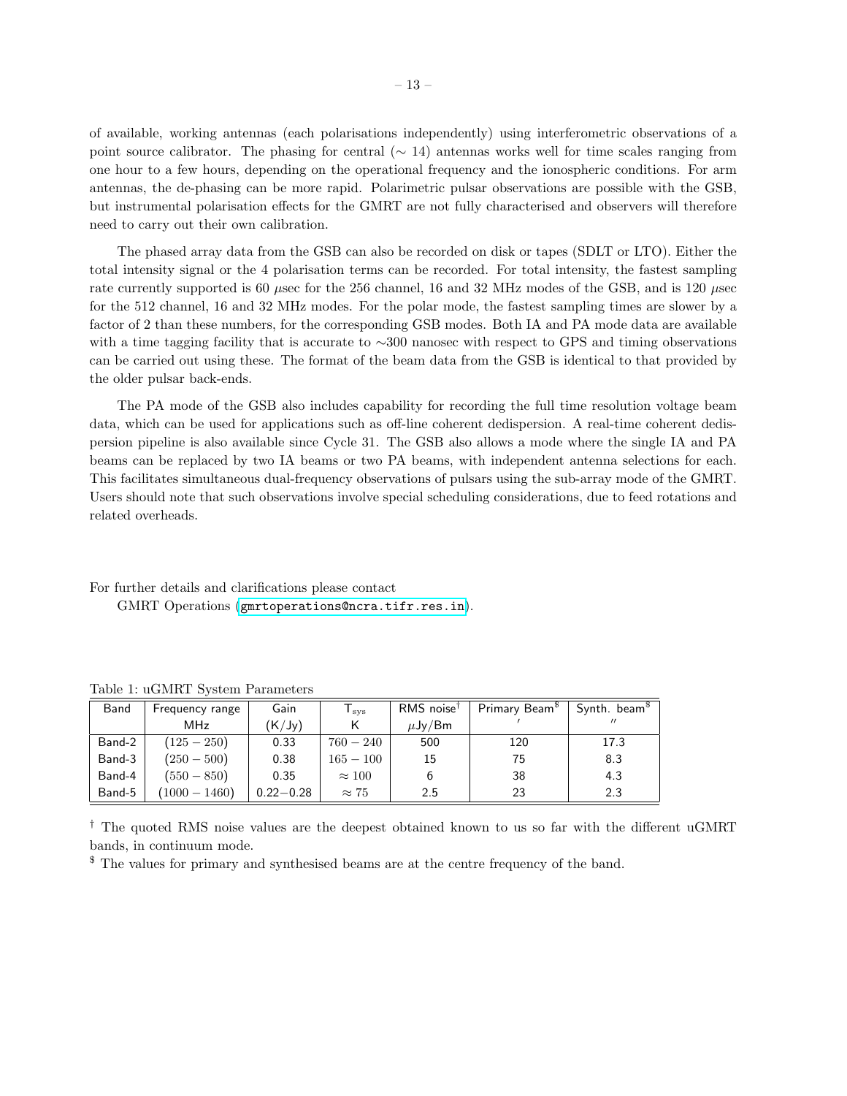of available, working antennas (each polarisations independently) using interferometric observations of a point source calibrator. The phasing for central ( $\sim$  14) antennas works well for time scales ranging from one hour to a few hours, depending on the operational frequency and the ionospheric conditions. For arm antennas, the de-phasing can be more rapid. Polarimetric pulsar observations are possible with the GSB, but instrumental polarisation effects for the GMRT are not fully characterised and observers will therefore need to carry out their own calibration.

The phased array data from the GSB can also be recorded on disk or tapes (SDLT or LTO). Either the total intensity signal or the 4 polarisation terms can be recorded. For total intensity, the fastest sampling rate currently supported is 60  $\mu$ sec for the 256 channel, 16 and 32 MHz modes of the GSB, and is 120  $\mu$ sec for the 512 channel, 16 and 32 MHz modes. For the polar mode, the fastest sampling times are slower by a factor of 2 than these numbers, for the corresponding GSB modes. Both IA and PA mode data are available with a time tagging facility that is accurate to ∼300 nanosec with respect to GPS and timing observations can be carried out using these. The format of the beam data from the GSB is identical to that provided by the older pulsar back-ends.

The PA mode of the GSB also includes capability for recording the full time resolution voltage beam data, which can be used for applications such as off-line coherent dedispersion. A real-time coherent dedispersion pipeline is also available since Cycle 31. The GSB also allows a mode where the single IA and PA beams can be replaced by two IA beams or two PA beams, with independent antenna selections for each. This facilitates simultaneous dual-frequency observations of pulsars using the sub-array mode of the GMRT. Users should note that such observations involve special scheduling considerations, due to feed rotations and related overheads.

For further details and clarifications please contact GMRT Operations (<gmrtoperations@ncra.tifr.res.in>).

| Band   | Frequency range | Gain          | $T_{\rm sys}$ | $RMS$ noise <sup>†</sup> | Primary Beam <sup>\$</sup> | Synth. beam <sup>\$</sup> |
|--------|-----------------|---------------|---------------|--------------------------|----------------------------|---------------------------|
|        | <b>MHz</b>      | (K/Jy)        |               | $\mu$ Jy/Bm              |                            | $^{\prime\prime}$         |
| Band-2 | $(125 - 250)$   | 0.33          | $760 - 240$   | 500                      | 120                        | 17.3                      |
| Band-3 | $(250-500)$     | 0.38          | $165 - 100$   | 15                       | 75                         | 8.3                       |
| Band-4 | $(550 - 850)$   | 0.35          | $\approx 100$ |                          | 38                         | 4.3                       |
| Band-5 | $(1000 - 1460)$ | $0.22 - 0.28$ | $\approx 75$  | 2.5                      | 23                         | 2.3                       |

Table 1: uGMRT System Parameters

† The quoted RMS noise values are the deepest obtained known to us so far with the different uGMRT bands, in continuum mode.

\$ The values for primary and synthesised beams are at the centre frequency of the band.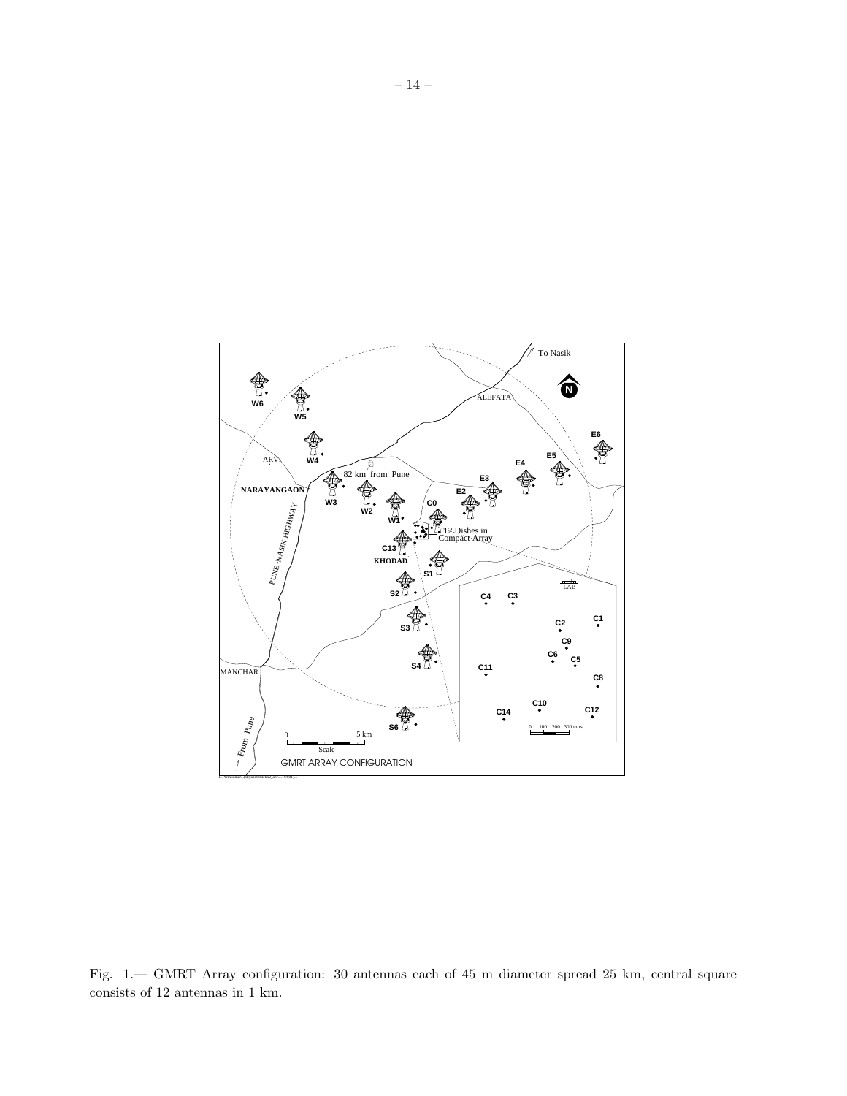

Fig. 1.— GMRT Array configuration: 30 antennas each of 45 m diameter spread 25 km, central square consists of 12 antennas in 1 km.